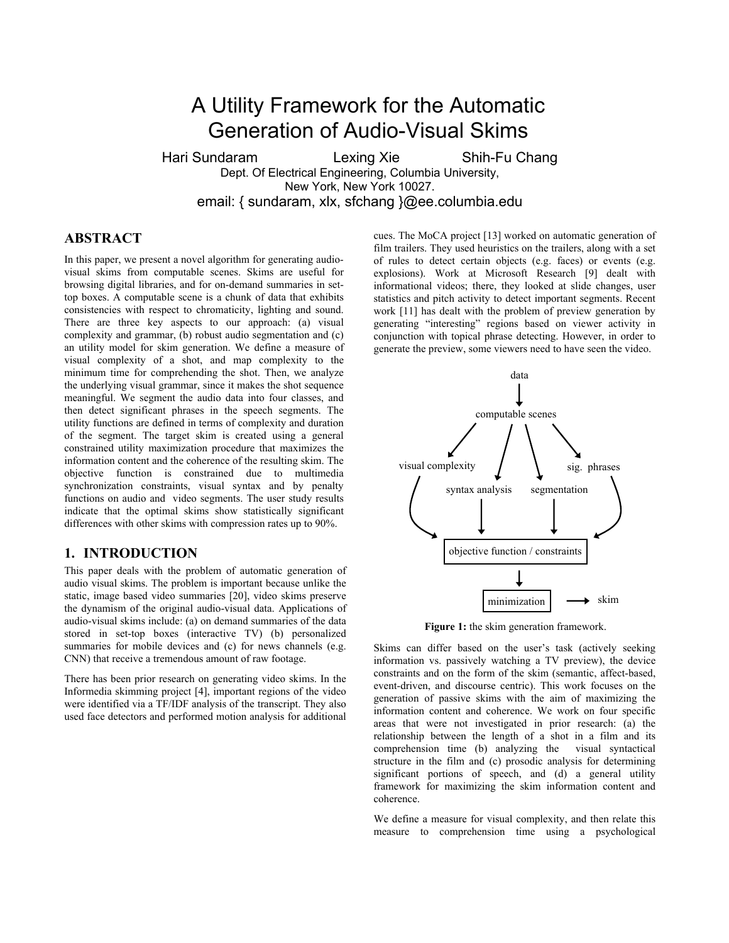# A Utility Framework for the Automatic Generation of Audio-Visual Skims

Hari Sundaram Lexing Xie Shih-Fu Chang Dept. Of Electrical Engineering, Columbia University, New York, New York 10027. email: { sundaram, xlx, sfchang }@ee.columbia.edu

# **ABSTRACT**

In this paper, we present a novel algorithm for generating audiovisual skims from computable scenes. Skims are useful for browsing digital libraries, and for on-demand summaries in settop boxes. A computable scene is a chunk of data that exhibits consistencies with respect to chromaticity, lighting and sound. There are three key aspects to our approach: (a) visual complexity and grammar, (b) robust audio segmentation and (c) an utility model for skim generation. We define a measure of visual complexity of a shot, and map complexity to the minimum time for comprehending the shot. Then, we analyze the underlying visual grammar, since it makes the shot sequence meaningful. We segment the audio data into four classes, and then detect significant phrases in the speech segments. The utility functions are defined in terms of complexity and duration of the segment. The target skim is created using a general constrained utility maximization procedure that maximizes the information content and the coherence of the resulting skim. The objective function is constrained due to multimedia synchronization constraints, visual syntax and by penalty functions on audio and video segments. The user study results indicate that the optimal skims show statistically significant differences with other skims with compression rates up to 90%.

#### **1. INTRODUCTION**

This paper deals with the problem of automatic generation of audio visual skims. The problem is important because unlike the static, image based video summaries [\[20\],](#page-9-0) video skims preserve the dynamism of the original audio-visual data. Applications of audio-visual skims include: (a) on demand summaries of the data stored in set-top boxes (interactive TV) (b) personalized summaries for mobile devices and (c) for news channels (e.g. CNN) that receive a tremendous amount of raw footage.

There has been prior research on generating video skims. In the Informedia skimming project [\[4\],](#page-9-1) important regions of the video were identified via a TF/IDF analysis of the transcript. They also used face detectors and performed motion analysis for additional

cues. The MoCA project [\[13\] w](#page-9-2)orked on automatic generation of film trailers. They used heuristics on the trailers, along with a set of rules to detect certain objects (e.g. faces) or events (e.g. explosions). Work at Microsoft Research [\[9\]](#page-9-3) dealt with informational videos; there, they looked at slide changes, user statistics and pitch activity to detect important segments. Recent work [\[11\]](#page-9-4) has dealt with the problem of preview generation by generating "interesting" regions based on viewer activity in conjunction with topical phrase detecting. However, in order to generate the preview, some viewers need to have seen the video.



**Figure 1:** the skim generation framework.

Skims can differ based on the user's task (actively seeking information vs. passively watching a TV preview), the device constraints and on the form of the skim (semantic, affect-based, event-driven, and discourse centric). This work focuses on the generation of passive skims with the aim of maximizing the information content and coherence. We work on four specific areas that were not investigated in prior research: (a) the relationship between the length of a shot in a film and its comprehension time (b) analyzing the visual syntactical structure in the film and (c) prosodic analysis for determining significant portions of speech, and (d) a general utility framework for maximizing the skim information content and coherence.

We define a measure for visual complexity, and then relate this measure to comprehension time using a psychological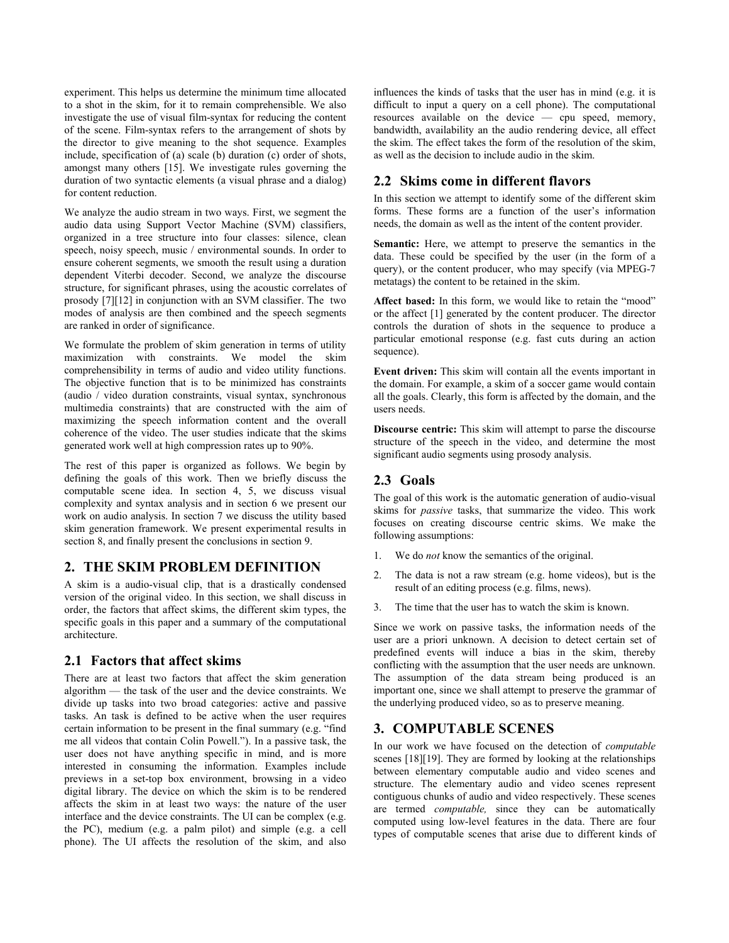experiment. This helps us determine the minimum time allocated to a shot in the skim, for it to remain comprehensible. We also investigate the use of visual film-syntax for reducing the content of the scene. Film-syntax refers to the arrangement of shots by the director to give meaning to the shot sequence. Examples include, specification of (a) scale (b) duration (c) order of shots, amongst many others [\[15\].](#page-9-5) We investigate rules governing the duration of two syntactic elements (a visual phrase and a dialog) for content reduction.

We analyze the audio stream in two ways. First, we segment the audio data using Support Vector Machine (SVM) classifiers, organized in a tree structure into four classes: silence, clean speech, noisy speech, music / environmental sounds. In order to ensure coherent segments, we smooth the result using a duration dependent Viterbi decoder. Second, we analyze the discourse structure, for significant phrases, using the acoustic correlates of prosody [\[7\]](#page-9-6)[\[12\]](#page-9-7) in conjunction with an SVM classifier. The two modes of analysis are then combined and the speech segments are ranked in order of significance.

We formulate the problem of skim generation in terms of utility maximization with constraints. We model the skim comprehensibility in terms of audio and video utility functions. The objective function that is to be minimized has constraints (audio / video duration constraints, visual syntax, synchronous multimedia constraints) that are constructed with the aim of maximizing the speech information content and the overall coherence of the video. The user studies indicate that the skims generated work well at high compression rates up to 90%.

The rest of this paper is organized as follows. We begin by defining the goals of this work. Then we briefly discuss the computable scene idea. In section [4,](#page-2-0) [5,](#page-2-1) we discuss visual complexity and syntax analysis and in section [6](#page-3-0) we present our work on audio analysis. In section [7](#page-4-0) we discuss the utility based skim generation framework. We present experimental results in section [8,](#page-8-0) and finally present the conclusions in section [9.](#page-9-8) 

### **2. THE SKIM PROBLEM DEFINITION**

A skim is a audio-visual clip, that is a drastically condensed version of the original video. In this section, we shall discuss in order, the factors that affect skims, the different skim types, the specific goals in this paper and a summary of the computational architecture.

# **2.1 Factors that affect skims**

There are at least two factors that affect the skim generation algorithm — the task of the user and the device constraints. We divide up tasks into two broad categories: active and passive tasks. An task is defined to be active when the user requires certain information to be present in the final summary (e.g. "find me all videos that contain Colin Powell."). In a passive task, the user does not have anything specific in mind, and is more interested in consuming the information. Examples include previews in a set-top box environment, browsing in a video digital library. The device on which the skim is to be rendered affects the skim in at least two ways: the nature of the user interface and the device constraints. The UI can be complex (e.g. the PC), medium (e.g. a palm pilot) and simple (e.g. a cell phone). The UI affects the resolution of the skim, and also

influences the kinds of tasks that the user has in mind (e.g. it is difficult to input a query on a cell phone). The computational resources available on the device — cpu speed, memory, bandwidth, availability an the audio rendering device, all effect the skim. The effect takes the form of the resolution of the skim, as well as the decision to include audio in the skim.

#### **2.2 Skims come in different flavors**

In this section we attempt to identify some of the different skim forms. These forms are a function of the user's information needs, the domain as well as the intent of the content provider.

**Semantic:** Here, we attempt to preserve the semantics in the data. These could be specified by the user (in the form of a query), or the content producer, who may specify (via MPEG-7 metatags) the content to be retained in the skim.

**Affect based:** In this form, we would like to retain the "mood" or the affect [\[1\]](#page-9-9) generated by the content producer. The director controls the duration of shots in the sequence to produce a particular emotional response (e.g. fast cuts during an action sequence).

**Event driven:** This skim will contain all the events important in the domain. For example, a skim of a soccer game would contain all the goals. Clearly, this form is affected by the domain, and the users needs.

**Discourse centric:** This skim will attempt to parse the discourse structure of the speech in the video, and determine the most significant audio segments using prosody analysis.

# **2.3 Goals**

The goal of this work is the automatic generation of audio-visual skims for *passive* tasks, that summarize the video. This work focuses on creating discourse centric skims. We make the following assumptions:

- 1. We do *not* know the semantics of the original.
- 2. The data is not a raw stream (e.g. home videos), but is the result of an editing process (e.g. films, news).
- 3. The time that the user has to watch the skim is known.

Since we work on passive tasks, the information needs of the user are a priori unknown. A decision to detect certain set of predefined events will induce a bias in the skim, thereby conflicting with the assumption that the user needs are unknown. The assumption of the data stream being produced is an important one, since we shall attempt to preserve the grammar of the underlying produced video, so as to preserve meaning.

### **3. COMPUTABLE SCENES**

In our work we have focused on the detection of *computable*  scenes [\[18\]](#page-9-10)[\[19\].](#page-9-11) They are formed by looking at the relationships between elementary computable audio and video scenes and structure. The elementary audio and video scenes represent contiguous chunks of audio and video respectively. These scenes are termed *computable,* since they can be automatically computed using low-level features in the data. There are four types of computable scenes that arise due to different kinds of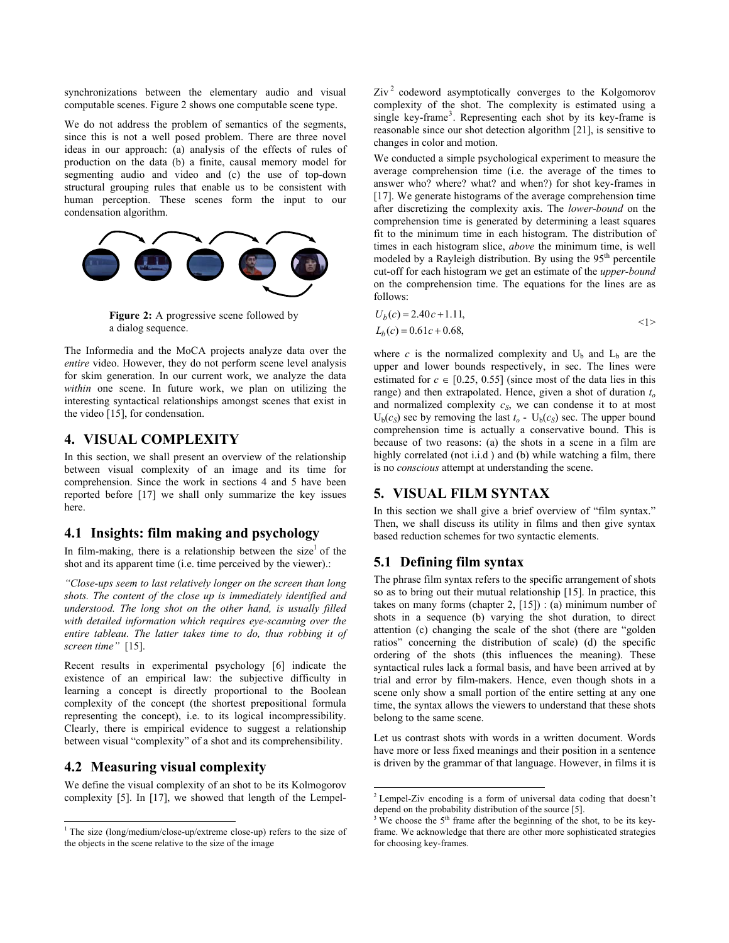synchronizations between the elementary audio and visual computable scenes. Figure 2 shows one computable scene type.

We do not address the problem of semantics of the segments, since this is not a well posed problem. There are three novel ideas in our approach: (a) analysis of the effects of rules of production on the data (b) a finite, causal memory model for segmenting audio and video and (c) the use of top-down structural grouping rules that enable us to be consistent with human perception. These scenes form the input to our condensation algorithm.



**Figure 2:** A progressive scene followed by a dialog sequence.

The Informedia and the MoCA projects analyze data over the *entire* video. However, they do not perform scene level analysis for skim generation. In our current work, we analyze the data *within* one scene. In future work, we plan on utilizing the interesting syntactical relationships amongst scenes that exist in the video [\[15\],](#page-9-5) for condensation.

# <span id="page-2-0"></span>**4. VISUAL COMPLEXITY**

In this section, we shall present an overview of the relationship between visual complexity of an image and its time for comprehension. Since the work in sections [4](#page-2-0) and [5](#page-2-1) have been reported before [\[17\]](#page-9-12) we shall only summarize the key issues here.

#### **4.1 Insights: film making and psychology**

In film-making, there is a relationship between the size<sup>[1](#page-2-2)</sup> of the shot and its apparent time (i.e. time perceived by the viewer).:

*"Close-ups seem to last relatively longer on the screen than long shots. The content of the close up is immediately identified and understood. The long shot on the other hand, is usually filled with detailed information which requires eye-scanning over the entire tableau. The latter takes time to do, thus robbing it of screen time"* [\[15\].](#page-9-5)

Recent results in experimental psychology [\[6\]](#page-9-13) indicate the existence of an empirical law: the subjective difficulty in learning a concept is directly proportional to the Boolean complexity of the concept (the shortest prepositional formula representing the concept), i.e. to its logical incompressibility. Clearly, there is empirical evidence to suggest a relationship between visual "complexity" of a shot and its comprehensibility.

### <span id="page-2-5"></span>**4.2 Measuring visual complexity**

 $\overline{a}$ 

We define the visual complexity of an shot to be its Kolmogorov complexity [\[5\].](#page-9-14) In [\[17\],](#page-9-12) we showed that length of the LempelZiv [2](#page-2-3) codeword asymptotically converges to the Kolgomorov complexity of the shot. The complexity is estimated using a single key-frame<sup>3</sup>[.](#page-2-4) Representing each shot by its key-frame is reasonable since our shot detection algorithm [\[21\],](#page-9-15) is sensitive to changes in color and motion.

We conducted a simple psychological experiment to measure the average comprehension time (i.e. the average of the times to answer who? where? what? and when?) for shot key-frames in [\[17\].](#page-9-12) We generate histograms of the average comprehension time after discretizing the complexity axis. The *lower-bound* on the comprehension time is generated by determining a least squares fit to the minimum time in each histogram. The distribution of times in each histogram slice, *above* the minimum time, is well modeled by a Rayleigh distribution. By using the  $95<sup>th</sup>$  percentile cut-off for each histogram we get an estimate of the *upper-bound* on the comprehension time. The equations for the lines are as follows:

<span id="page-2-6"></span>
$$
U_b(c) = 2.40c + 1.11,
$$
  
\n
$$
L_b(c) = 0.61c + 0.68,
$$

where  $c$  is the normalized complexity and  $U<sub>b</sub>$  and  $L<sub>b</sub>$  are the upper and lower bounds respectively, in sec. The lines were estimated for  $c \in [0.25, 0.55]$  (since most of the data lies in this range) and then extrapolated. Hence, given a shot of duration *to* and normalized complexity  $c_S$ , we can condense it to at most  $U_b(c_s)$  sec by removing the last  $t_o$  -  $U_b(c_s)$  sec. The upper bound comprehension time is actually a conservative bound. This is because of two reasons: (a) the shots in a scene in a film are highly correlated (not i.i.d) and (b) while watching a film, there is no *conscious* attempt at understanding the scene.

### <span id="page-2-1"></span>**5. VISUAL FILM SYNTAX**

In this section we shall give a brief overview of "film syntax." Then, we shall discuss its utility in films and then give syntax based reduction schemes for two syntactic elements.

# **5.1 Defining film syntax**

The phrase film syntax refers to the specific arrangement of shots so as to bring out their mutual relationship [\[15\].](#page-9-5) In practice, this takes on many forms (chapter 2,  $[15]$ ) : (a) minimum number of shots in a sequence (b) varying the shot duration, to direct attention (c) changing the scale of the shot (there are "golden ratios" concerning the distribution of scale) (d) the specific ordering of the shots (this influences the meaning). These syntactical rules lack a formal basis, and have been arrived at by trial and error by film-makers. Hence, even though shots in a scene only show a small portion of the entire setting at any one time, the syntax allows the viewers to understand that these shots belong to the same scene.

Let us contrast shots with words in a written document. Words have more or less fixed meanings and their position in a sentence is driven by the grammar of that language. However, in films it is

<span id="page-2-2"></span><sup>&</sup>lt;sup>1</sup> The size (long/medium/close-up/extreme close-up) refers to the size of the objects in the scene relative to the size of the image

<span id="page-2-3"></span><sup>&</sup>lt;sup>2</sup> Lempel-Ziv encoding is a form of universal data coding that doesn't depend on the probability distribution of the source [5].

<span id="page-2-4"></span><sup>&</sup>lt;sup>3</sup> We choose the  $5<sup>th</sup>$  frame after the beginning of the shot, to be its keyframe. We acknowledge that there are other more sophisticated strategies for choosing key-frames.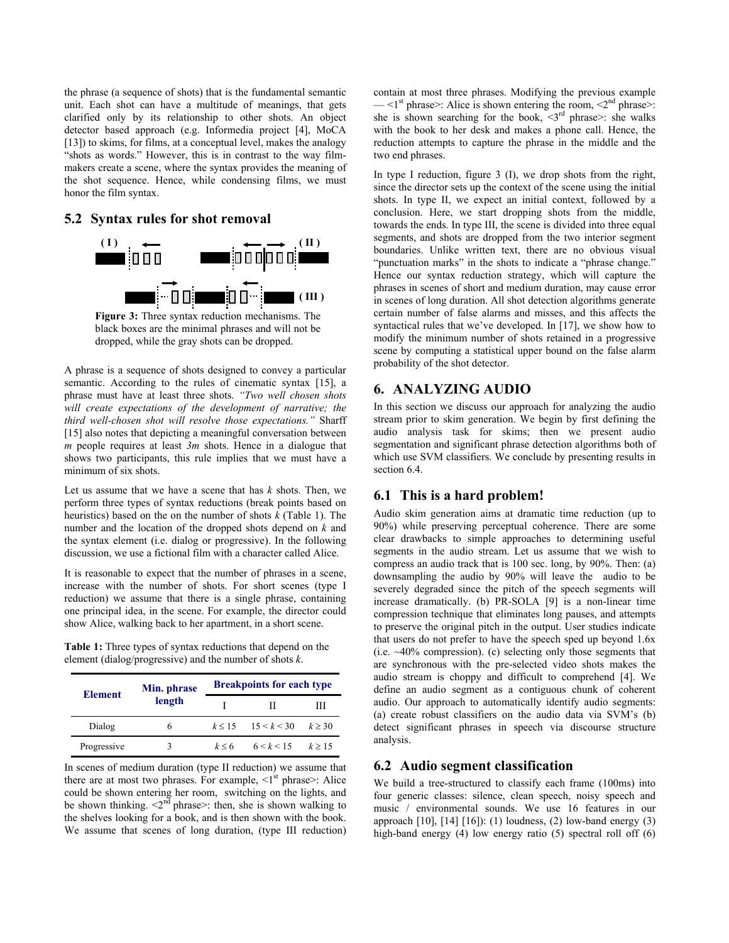the phrase (a sequence of shots) that is the fundamental semantic unit. Each shot can have a multitude of meanings, that gets clarified only by its relationship to other shots. An object detector based approach (e.g. Informedia project [\[4\],](#page-9-1) MoCA [\[13\]\)](#page-9-2) to skims, for films, at a conceptual level, makes the analogy "shots as words." However, this is in contrast to the way filmmakers create a scene, where the syntax provides the meaning of the shot sequence. Hence, while condensing films, we must honor the film syntax.

### <span id="page-3-1"></span>**5.2 Syntax rules for shot removal**



**Figure 3:** Three syntax reduction mechanisms. The black boxes are the minimal phrases and will not be dropped, while the gray shots can be dropped.

A phrase is a sequence of shots designed to convey a particular semantic. According to the rules of cinematic syntax [\[15\],](#page-9-5) a phrase must have at least three shots. *"Two well chosen shots will create expectations of the development of narrative; the third well-chosen shot will resolve those expectations."* Sharff [\[15\] a](#page-9-5)lso notes that depicting a meaningful conversation between *m* people requires at least *3m* shots. Hence in a dialogue that shows two participants, this rule implies that we must have a minimum of six shots.

Let us assume that we have a scene that has *k* shots. Then, we perform three types of syntax reductions (break points based on heuristics) based on the on the number of shots *k* (Table 1). The number and the location of the dropped shots depend on *k* and the syntax element (i.e. dialog or progressive). In the following discussion, we use a fictional film with a character called Alice.

It is reasonable to expect that the number of phrases in a scene, increase with the number of shots. For short scenes (type I reduction) we assume that there is a single phrase, containing one principal idea, in the scene. For example, the director could show Alice, walking back to her apartment, in a short scene.

**Table 1:** Three types of syntax reductions that depend on the element (dialog/progressive) and the number of shots *k*.

| <b>Element</b> | Min. phrase<br>length | <b>Breakpoints for each type</b> |                                 |   |  |
|----------------|-----------------------|----------------------------------|---------------------------------|---|--|
|                |                       |                                  |                                 | Ш |  |
| Dialog         | h                     |                                  | $k < 15$ $15 < k < 30$ $k > 30$ |   |  |
| Progressive    |                       | $k \leq 6$                       | $6 < k < 15$ $k > 15$           |   |  |

In scenes of medium duration (type II reduction) we assume that there are at most two phrases. For example,  $\leq 1^{st}$  phrase>: Alice could be shown entering her room, switching on the lights, and be shown thinking.  $\leq 2^{n\bar{d}}$  phrase>: then, she is shown walking to the shelves looking for a book, and is then shown with the book. We assume that scenes of long duration, (type III reduction)

contain at most three phrases. Modifying the previous example  $-$  <1<sup>st</sup> phrase>: Alice is shown entering the room, <2<sup>nd</sup> phrase>: she is shown searching for the book,  $\leq 3^{rd}$  phrase>: she walks with the book to her desk and makes a phone call. Hence, the reduction attempts to capture the phrase in the middle and the two end phrases.

In type I reduction, figure 3 (I), we drop shots from the right, since the director sets up the context of the scene using the initial shots. In type II, we expect an initial context, followed by a conclusion. Here, we start dropping shots from the middle, towards the ends. In type III, the scene is divided into three equal segments, and shots are dropped from the two interior segment boundaries. Unlike written text, there are no obvious visual "punctuation marks" in the shots to indicate a "phrase change." Hence our syntax reduction strategy, which will capture the phrases in scenes of short and medium duration, may cause error in scenes of long duration. All shot detection algorithms generate certain number of false alarms and misses, and this affects the syntactical rules that we've developed. In [\[17\],](#page-9-12) we show how to modify the minimum number of shots retained in a progressive scene by computing a statistical upper bound on the false alarm probability of the shot detector.

## <span id="page-3-0"></span>**6. ANALYZING AUDIO**

In this section we discuss our approach for analyzing the audio stream prior to skim generation. We begin by first defining the audio analysis task for skims; then we present audio segmentation and significant phrase detection algorithms both of which use SVM classifiers. We conclude by presenting results in section [6.4.](#page-4-1)

### **6.1 This is a hard problem!**

Audio skim generation aims at dramatic time reduction (up to 90%) while preserving perceptual coherence. There are some clear drawbacks to simple approaches to determining useful segments in the audio stream. Let us assume that we wish to compress an audio track that is 100 sec. long, by 90%. Then: (a) downsampling the audio by 90% will leave the audio to be severely degraded since the pitch of the speech segments will increase dramatically. (b) PR-SOLA [\[9\]](#page-9-3) is a non-linear time compression technique that eliminates long pauses, and attempts to preserve the original pitch in the output. User studies indicate that users do not prefer to have the speech sped up beyond 1.6x (i.e. ~40% compression). (c) selecting only those segments that are synchronous with the pre-selected video shots makes the audio stream is choppy and difficult to comprehend [\[4\].](#page-9-1) We define an audio segment as a contiguous chunk of coherent audio. Our approach to automatically identify audio segments: (a) create robust classifiers on the audio data via SVM's (b) detect significant phrases in speech via discourse structure analysis.

# **6.2 Audio segment classification**

We build a tree-structured to classify each frame (100ms) into four generic classes: silence, clean speech, noisy speech and music / environmental sounds. We use 16 features in our approach  $[10]$ ,  $[14] [16]$  $[14] [16]$ ;  $(1)$  loudness,  $(2)$  low-band energy  $(3)$ high-band energy (4) low energy ratio (5) spectral roll off (6)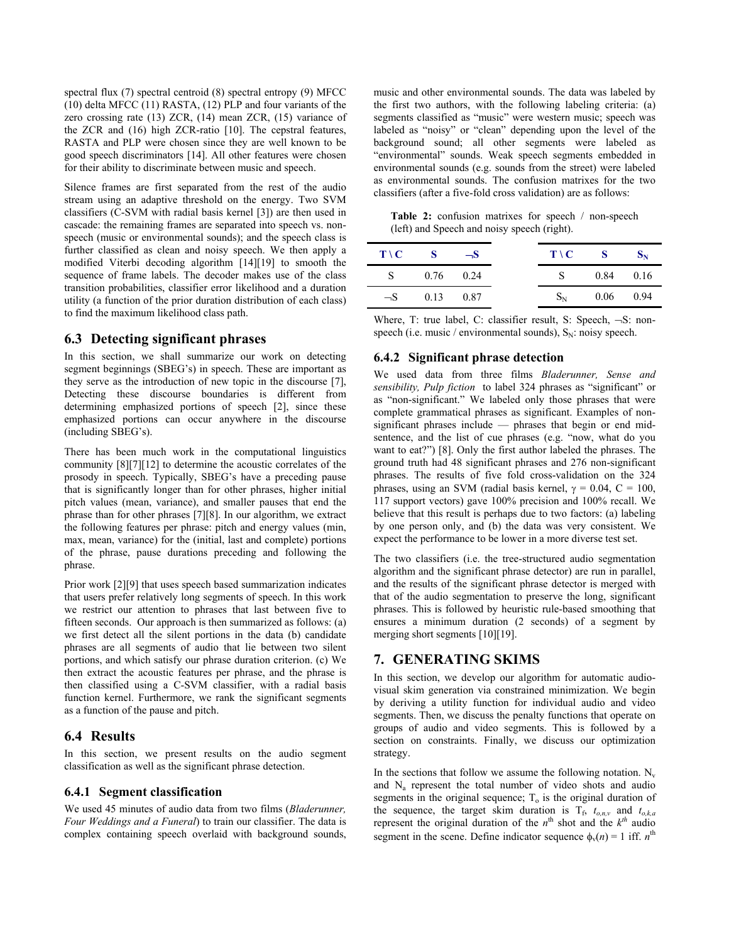spectral flux (7) spectral centroid (8) spectral entropy (9) MFCC (10) delta MFCC (11) RASTA, (12) PLP and four variants of the zero crossing rate (13) ZCR, (14) mean ZCR, (15) variance of the ZCR and (16) high ZCR-ratio [\[10\].](#page-9-16) The cepstral features, RASTA and PLP were chosen since they are well known to be good speech discriminators [\[14\].](#page-9-17) All other features were chosen for their ability to discriminate between music and speech.

Silence frames are first separated from the rest of the audio stream using an adaptive threshold on the energy. Two SVM classifiers (C-SVM with radial basis kernel [\[3\]\)](#page-9-19) are then used in cascade: the remaining frames are separated into speech vs. nonspeech (music or environmental sounds); and the speech class is further classified as clean and noisy speech. We then apply a modified Viterbi decoding algorithm [\[14\]](#page-9-17)[\[19\]](#page-9-11) to smooth the sequence of frame labels. The decoder makes use of the class transition probabilities, classifier error likelihood and a duration utility (a function of the prior duration distribution of each class) to find the maximum likelihood class path.

#### **6.3 Detecting significant phrases**

In this section, we shall summarize our work on detecting segment beginnings (SBEG's) in speech. These are important as they serve as the introduction of new topic in the discourse [\[7\],](#page-9-6) Detecting these discourse boundaries is different from determining emphasized portions of speech [\[2\],](#page-9-20) since these emphasized portions can occur anywhere in the discourse (including SBEG's).

There has been much work in the computational linguistics community [\[8\]\[](#page-9-21)[7\]](#page-9-6)[\[12\] t](#page-9-7)o determine the acoustic correlates of the prosody in speech. Typically, SBEG's have a preceding pause that is significantly longer than for other phrases, higher initial pitch values (mean, variance), and smaller pauses that end the phrase than for other phrases [\[7\]](#page-9-6)[\[8\].](#page-9-21) In our algorithm, we extract the following features per phrase: pitch and energy values (min, max, mean, variance) for the (initial, last and complete) portions of the phrase, pause durations preceding and following the phrase.

Prior work [\[2\]](#page-9-20)[\[9\] t](#page-9-3)hat uses speech based summarization indicates that users prefer relatively long segments of speech. In this work we restrict our attention to phrases that last between five to fifteen seconds. Our approach is then summarized as follows: (a) we first detect all the silent portions in the data (b) candidate phrases are all segments of audio that lie between two silent portions, and which satisfy our phrase duration criterion. (c) We then extract the acoustic features per phrase, and the phrase is then classified using a C-SVM classifier, with a radial basis function kernel. Furthermore, we rank the significant segments as a function of the pause and pitch.

#### <span id="page-4-1"></span>**6.4 Results**

In this section, we present results on the audio segment classification as well as the significant phrase detection.

#### **6.4.1 Segment classification**

We used 45 minutes of audio data from two films (*Bladerunner, Four Weddings and a Funeral*) to train our classifier. The data is complex containing speech overlaid with background sounds,

music and other environmental sounds. The data was labeled by the first two authors, with the following labeling criteria: (a) segments classified as "music" were western music; speech was labeled as "noisy" or "clean" depending upon the level of the background sound; all other segments were labeled as "environmental" sounds. Weak speech segments embedded in environmental sounds (e.g. sounds from the street) were labeled as environmental sounds. The confusion matrixes for the two classifiers (after a five-fold cross validation) are as follows:

**Table 2:** confusion matrixes for speech / non-speech (left) and Speech and noisy speech (right).

| $T \setminus C$ |             | $-S$ | $T \setminus C$ | S. | $S_N$       |
|-----------------|-------------|------|-----------------|----|-------------|
| S.              | $0.76$ 0.24 |      | S.              |    | $0.84$ 0.16 |
| $\neg$ S        | 0.13 0.87   |      | $S_{\rm M}$     |    | $0.06$ 0.94 |

Where, T: true label, C: classifier result, S: Speech,  $\neg S$ : nonspeech (i.e. music / environmental sounds),  $S_N$ : noisy speech.

#### **6.4.2 Significant phrase detection**

We used data from three films *Bladerunner, Sense and sensibility, Pulp fiction* to label 324 phrases as "significant" or as "non-significant." We labeled only those phrases that were complete grammatical phrases as significant. Examples of nonsignificant phrases include — phrases that begin or end midsentence, and the list of cue phrases (e.g. "now, what do you want to eat?") [\[8\].](#page-9-21) Only the first author labeled the phrases. The ground truth had 48 significant phrases and 276 non-significant phrases. The results of five fold cross-validation on the 324 phrases, using an SVM (radial basis kernel,  $\gamma = 0.04$ , C = 100, 117 support vectors) gave 100% precision and 100% recall. We believe that this result is perhaps due to two factors: (a) labeling by one person only, and (b) the data was very consistent. We expect the performance to be lower in a more diverse test set.

The two classifiers (i.e. the tree-structured audio segmentation algorithm and the significant phrase detector) are run in parallel, and the results of the significant phrase detector is merged with that of the audio segmentation to preserve the long, significant phrases. This is followed by heuristic rule-based smoothing that ensures a minimum duration (2 seconds) of a segment by merging short segments [\[10\]\[](#page-9-16)[19\].](#page-9-11)

#### <span id="page-4-0"></span>**7. GENERATING SKIMS**

In this section, we develop our algorithm for automatic audiovisual skim generation via constrained minimization. We begin by deriving a utility function for individual audio and video segments. Then, we discuss the penalty functions that operate on groups of audio and video segments. This is followed by a section on constraints. Finally, we discuss our optimization strategy.

In the sections that follow we assume the following notation.  $N_v$ and Na represent the total number of video shots and audio segments in the original sequence;  $T<sub>o</sub>$  is the original duration of the sequence, the target skim duration is  $T_f$ ,  $t_{o,n}$  and  $t_{o,k,a}$ represent the original duration of the  $n^{\text{th}}$  shot and the  $k^{\text{th}}$  audio segment in the scene. Define indicator sequence  $\phi_y(n) = 1$  iff.  $n^{\text{th}}$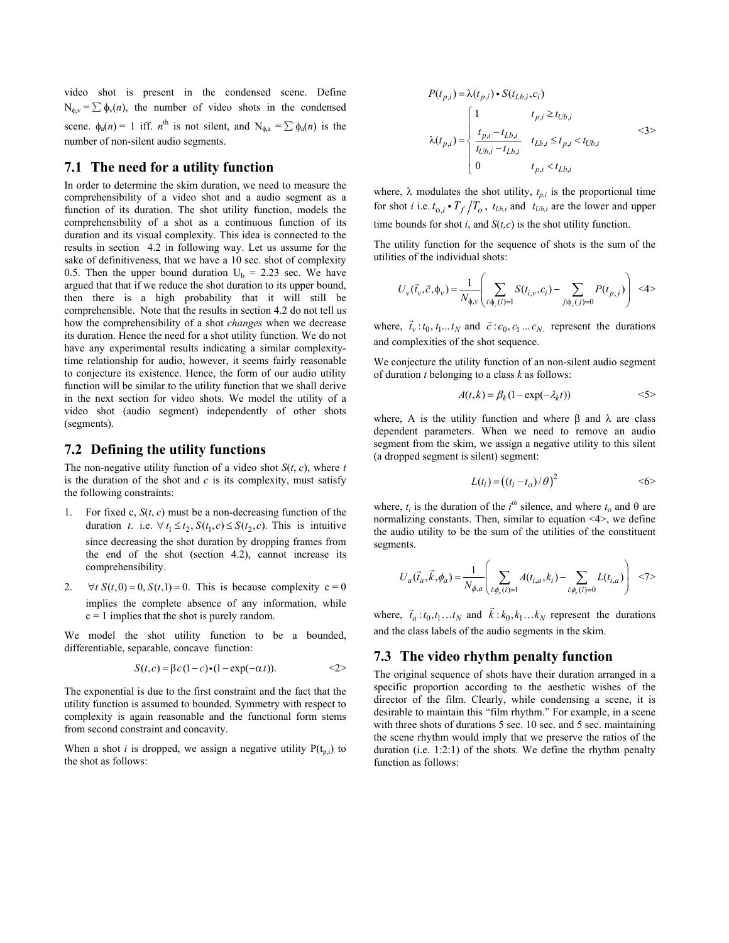video shot is present in the condensed scene. Define  $N_{\phi, v} = \sum \phi_v(n)$ , the number of video shots in the condensed scene.  $\phi_a(n) = 1$  iff. *n*<sup>th</sup> is not silent, and  $N_{\phi,a} = \sum \phi_a(n)$  is the number of non-silent audio segments.

#### **7.1 The need for a utility function**

In order to determine the skim duration, we need to measure the comprehensibility of a video shot and a audio segment as a function of its duration. The shot utility function, models the comprehensibility of a shot as a continuous function of its duration and its visual complexity. This idea is connected to the results in section [4.2](#page-2-5) in following way. Let us assume for the sake of definitiveness, that we have a 10 sec. shot of complexity 0.5. Then the upper bound duration  $U_b = 2.23$  sec. We have argued that that if we reduce the shot duration to its upper bound, then there is a high probability that it will still be comprehensible. Note that the results in section [4.2 d](#page-2-5)o not tell us how the comprehensibility of a shot *changes* when we decrease its duration. Hence the need for a shot utility function. We do not have any experimental results indicating a similar complexitytime relationship for audio, however, it seems fairly reasonable to conjecture its existence. Hence, the form of our audio utility function will be similar to the utility function that we shall derive in the next section for video shots. We model the utility of a video shot (audio segment) independently of other shots (segments).

<span id="page-5-2"></span>The non-negative utility function of a video shot  $S(t, c)$ , where *t* is the duration of the shot and *c* is its complexity, must satisfy  $L(t_i) = ((t_i - t_o)/\theta)^2$  <6><br>the following constraints:

- 1. For fixed c,  $S(t, c)$  must be a non-decreasing function of the duration *t*. i.e.  $\forall t_1 \leq t_2$ ,  $S(t_1, c) \leq S(t_2, c)$ . This is intuitive since decreasing the shot duration by dropping frames from the end of the shot (section [4.2\)](#page-2-5), cannot increase its comprehensibility.
- 2.  $\forall t \ S(t,0) = 0, S(t,1) = 0$ . This is because complexity  $c = 0$ implies the complete absence of any information, while  $c = 1$  implies that the shot is purely random.

differentiable, separable, concave function:

$$
S(t,c) = \beta c (1-c) \cdot (1 - \exp(-\alpha t)). \qquad \qquad <2>
$$

The exponential is due to the first constraint and the fact that the utility function is assumed to bounded. Symmetry with respect to complexity is again reasonable and the functional form stems from second constraint and concavity.

When a shot *i* is dropped, we assign a negative utility  $P(t_{p,i})$  to the shot as follows:

$$
P(t_{p,i}) = \lambda(t_{p,i}) \cdot S(t_{Lb,i}, c_i)
$$
  

$$
\lambda(t_{p,i}) = \begin{cases} 1 & t_{p,i} \ge t_{Ub,i} \\ \frac{t_{p,i} - t_{Lb,i}}{t_{Ub,i} - t_{Lb,i}} & t_{Lb,i} \le t_{p,i} < t_{Ub,i} \\ 0 & t_{p,i} < t_{Lb,i} \end{cases}
$$

where,  $\lambda$  modulates the shot utility,  $t_{p,i}$  is the proportional time for shot *i* i.e.  $t_{0,i} \cdot T_f / T_o$ ,  $t_{Lb,i}$  and  $t_{Ub,i}$  are the lower and upper time bounds for shot *i*, and  $S(t,c)$  is the shot utility function.

The utility function for the sequence of shots is the sum of the utilities of the individual shots:

$$
U_{\nu}(\vec{t}_{\nu}, \vec{c}, \phi_{\nu}) = \frac{1}{N_{\phi, \nu}} \left( \sum_{i:\phi_{\nu}(i)=1} S(t_{i, \nu}, c_i) - \sum_{j:\phi_{\nu}(j)=0} P(t_{p,j}) \right) \langle 4 \rangle
$$

where,  $\vec{t}_v : t_0, t_1... t_N$  and  $\vec{c} : c_0, c_1... c_N$  represent the durations and complexities of the shot sequence.

We conjecture the utility function of an non-silent audio segment of duration *t* belonging to a class *k* as follows:

<span id="page-5-0"></span>
$$
A(t,k) = \beta_k (1 - \exp(-\lambda_k t))
$$
  $\langle 5 \rangle$ 

where, A is the utility function and where  $\beta$  and  $\lambda$  are class dependent parameters. When we need to remove an audio segment from the skim, we assign a negative utility to this silent **7.2 Defining the utility functions** segment non the skill, we assign a neglect  $\frac{1}{2}$  (a dropped segment is silent) segment:

$$
L(t_i) = ((t_i - t_o)/\theta)^2
$$
  $\langle 6 \rangle$ 

where,  $t_i$  is the duration of the  $i^{th}$  silence, and where  $t_0$  and  $\theta$  are normalizing constants. Then, similar to equation  $\leq 4$ , we define the audio utility to be the sum of the utilities of the constituent segments.

$$
U_a(\vec{t}_a, \vec{k}, \phi_a) = \frac{1}{N_{\phi,a}} \left( \sum_{i: \phi_a(i) = 1} A(t_{i,a}, k_i) - \sum_{i: \phi_a(i) = 0} L(t_{i,a}) \right) \iff 0 \leq i \leq n
$$

where,  $\vec{t}_a : t_0, t_1...t_N$  and  $\vec{k} : k_0, k_1...k_N$  represent the durations We model the shot utility function to be a bounded, and the class labels of the audio segments in the skim.

#### <span id="page-5-1"></span>*F*<sub>*C*</sub>.3 The video rhythm penalty function

The original sequence of shots have their duration arranged in a specific proportion according to the aesthetic wishes of the director of the film. Clearly, while condensing a scene, it is desirable to maintain this "film rhythm." For example, in a scene with three shots of durations 5 sec. 10 sec. and 5 sec. maintaining the scene rhythm would imply that we preserve the ratios of the duration (i.e. 1:2:1) of the shots. We define the rhythm penalty function as follows: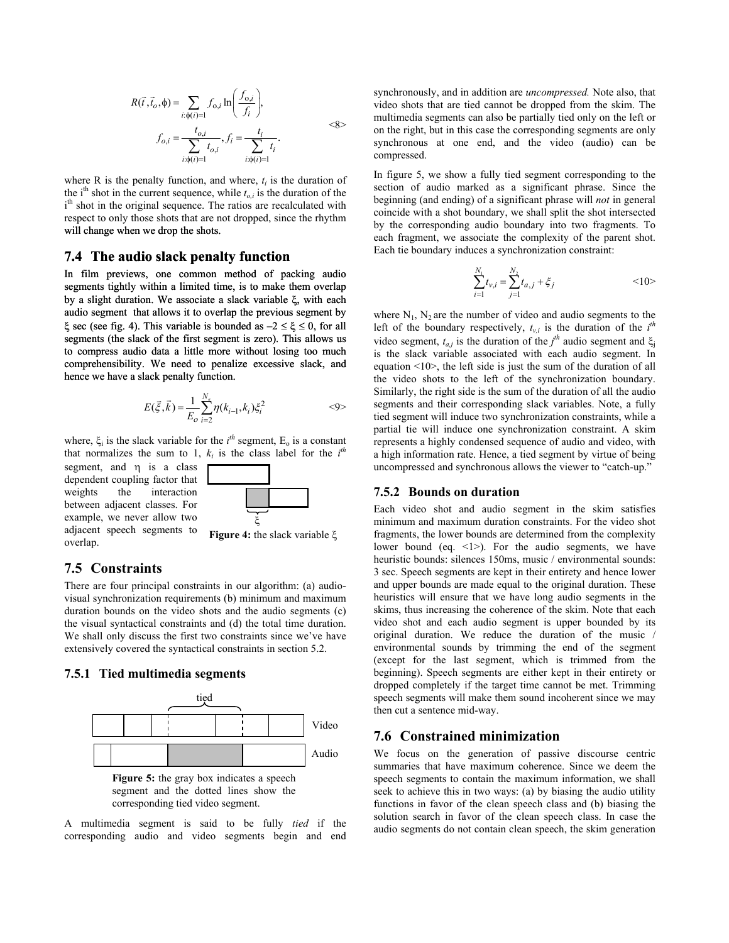$$
R(\vec{t}, \vec{t}_o, \phi) = \sum_{i: \phi(i) = 1} f_{o,i} \ln\left(\frac{f_{o,i}}{f_i}\right),
$$
  

$$
f_{o,i} = \frac{t_{o,i}}{\sum_{i: \phi(i) = 1} t_{o,i}}, f_i = \frac{t_i}{\sum_{i: \phi(i) = 1} t_i}.
$$

where R is the penalty function, and where,  $t_i$  is the duration of the i<sup>th</sup> shot in the current sequence, while  $t_{o,i}$  is the duration of the i<sup>th</sup> shot in the original sequence. The ratios are recalculated with respect to only those shots that are not dropped, since the rhythm will change when we drop the shots.

#### **7.4 The audio slack penalty function**

In film previews, one common method of packing audio segments tightly within a limited time, is to make them overlap by a slight duration. We associate a slack variable ξ, with each audio segment that allows it to overlap the previous segment by ξ sec (see fig. 4). This variable is bounded as  $-2 \le \xi \le 0$ , for all segments (the slack of the first segment is zero). This allows us to compress audio data a little more without losing too much comprehensibility. We need to penalize excessive slack, and hence we have a slack penalty function.

$$
E(\vec{\xi}, \vec{k}) = \frac{1}{E_o} \sum_{i=2}^{N_a} \eta(k_{i-1}, k_i) \xi_i^2
$$
  $\langle 9 \rangle$ 

where,  $\xi_i$  is the slack variable for the  $i^{th}$  segment,  $E_o$  is a constant that normalizes the sum to 1,  $k_i$  is the class label for the  $i^{th}$ 

segment, and η is a class dependent coupling factor that weights the interaction between adjacent classes. For example, we never allow two adjacent speech segments to overlap.



# **7.5 Constraints**

There are four principal constraints in our algorithm: (a) audiovisual synchronization requirements (b) minimum and maximum duration bounds on the video shots and the audio segments (c) the visual syntactical constraints and (d) the total time duration. We shall only discuss the first two constraints since we've have extensively covered the syntactical constraints in section [5.2.](#page-3-1) 

#### **7.5.1 Tied multimedia segments**





A multimedia segment is said to be fully *tied* if the corresponding audio and video segments begin and end

synchronously, and in addition are *uncompressed.* Note also, that video shots that are tied cannot be dropped from the skim. The multimedia segments can also be partially tied only on the left or on the right, but in this case the corresponding segments are only synchronous at one end, and the video (audio) can be compressed.

In figure 5, we show a fully tied segment corresponding to the section of audio marked as a significant phrase. Since the beginning (and ending) of a significant phrase will *not* in general coincide with a shot boundary, we shall split the shot intersected by the corresponding audio boundary into two fragments. To each fragment, we associate the complexity of the parent shot. Each tie boundary induces a synchronization constraint:

<span id="page-6-0"></span>
$$
\sum_{i=1}^{N_1} t_{v,i} = \sum_{j=1}^{N_2} t_{a,j} + \xi_j
$$
  $<10>$ 

where  $N_1$ ,  $N_2$  are the number of video and audio segments to the left of the boundary respectively,  $t_{v,i}$  is the duration of the  $i^{th}$ video segment,  $t_{a,j}$  is the duration of the  $j^{th}$  audio segment and  $\xi_i$ is the slack variable associated with each audio segment. In equation [<10>,](#page-6-0) the left side is just the sum of the duration of all the video shots to the left of the synchronization boundary. Similarly, the right side is the sum of the duration of all the audio segments and their corresponding slack variables. Note, a fully tied segment will induce two synchronization constraints, while a partial tie will induce one synchronization constraint. A skim represents a highly condensed sequence of audio and video, with a high information rate. Hence, a tied segment by virtue of being uncompressed and synchronous allows the viewer to "catch-up."

#### **7.5.2 Bounds on duration**

Each video shot and audio segment in the skim satisfies minimum and maximum duration constraints. For the video shot fragments, the lower bounds are determined from the complexity lower bound (eq.  $\leq 1$ ). For the audio segments, we have heuristic bounds: silences 150ms, music / environmental sounds: 3 sec. Speech segments are kept in their entirety and hence lower and upper bounds are made equal to the original duration. These heuristics will ensure that we have long audio segments in the skims, thus increasing the coherence of the skim. Note that each video shot and each audio segment is upper bounded by its original duration. We reduce the duration of the music / environmental sounds by trimming the end of the segment (except for the last segment, which is trimmed from the beginning). Speech segments are either kept in their entirety or dropped completely if the target time cannot be met. Trimming speech segments will make them sound incoherent since we may then cut a sentence mid-way.

#### **7.6 Constrained minimization**

We focus on the generation of passive discourse centric summaries that have maximum coherence. Since we deem the speech segments to contain the maximum information, we shall seek to achieve this in two ways: (a) by biasing the audio utility functions in favor of the clean speech class and (b) biasing the solution search in favor of the clean speech class. In case the audio segments do not contain clean speech, the skim generation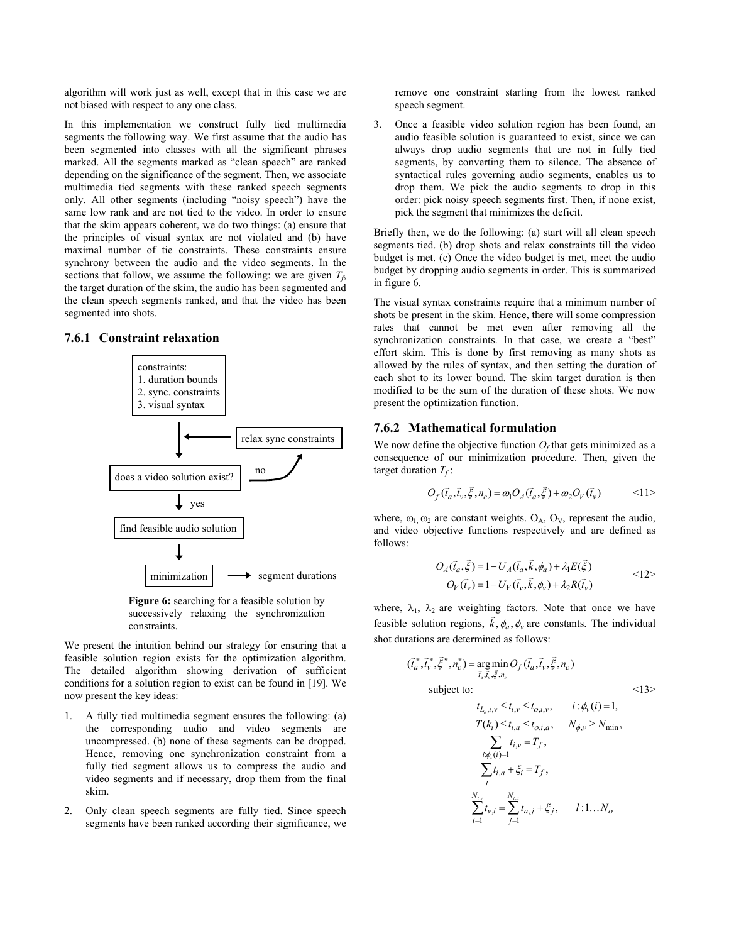algorithm will work just as well, except that in this case we are not biased with respect to any one class.

In this implementation we construct fully tied multimedia segments the following way. We first assume that the audio has been segmented into classes with all the significant phrases marked. All the segments marked as "clean speech" are ranked depending on the significance of the segment. Then, we associate multimedia tied segments with these ranked speech segments only. All other segments (including "noisy speech") have the same low rank and are not tied to the video. In order to ensure that the skim appears coherent, we do two things: (a) ensure that the principles of visual syntax are not violated and (b) have maximal number of tie constraints. These constraints ensure synchrony between the audio and the video segments. In the sections that follow, we assume the following: we are given  $T_f$ , the target duration of the skim, the audio has been segmented and the clean speech segments ranked, and that the video has been segmented into shots.

#### **7.6.1 Constraint relaxation**



**Figure 6:** searching for a feasible solution by successively relaxing the synchronization constraints.

We present the intuition behind our strategy for ensuring that a feasible solution region exists for the optimization algorithm. The detailed algorithm showing derivation of sufficient conditions for a solution region to exist can be found in [\[19\].](#page-9-11) We now present the key ideas:

- 1. A fully tied multimedia segment ensures the following: (a) the corresponding audio and video segments are uncompressed. (b) none of these segments can be dropped. Hence, removing one synchronization constraint from a fully tied segment allows us to compress the audio and video segments and if necessary, drop them from the final skim.
- 2. Only clean speech segments are fully tied. Since speech segments have been ranked according their significance, we

remove one constraint starting from the lowest ranked speech segment.

3. Once a feasible video solution region has been found, an audio feasible solution is guaranteed to exist, since we can always drop audio segments that are not in fully tied segments, by converting them to silence. The absence of syntactical rules governing audio segments, enables us to drop them. We pick the audio segments to drop in this order: pick noisy speech segments first. Then, if none exist, pick the segment that minimizes the deficit.

Briefly then, we do the following: (a) start will all clean speech segments tied. (b) drop shots and relax constraints till the video budget is met. (c) Once the video budget is met, meet the audio budget by dropping audio segments in order. This is summarized in figure 6.

The visual syntax constraints require that a minimum number of shots be present in the skim. Hence, there will some compression rates that cannot be met even after removing all the synchronization constraints. In that case, we create a "best" effort skim. This is done by first removing as many shots as allowed by the rules of syntax, and then setting the duration of each shot to its lower bound. The skim target duration is then modified to be the sum of the duration of these shots. We now present the optimization function.

#### **7.6.2 Mathematical formulation**

We now define the objective function  $O_f$  that gets minimized as a consequence of our minimization procedure. Then, given the target duration  $T_f$ :

$$
O_f(\vec{t}_a, \vec{t}_v, \vec{\xi}, n_c) = \omega_1 O_A(\vec{t}_a, \vec{\xi}) + \omega_2 O_V(\vec{t}_v) \tag{11}
$$

where,  $\omega_1$ ,  $\omega_2$  are constant weights.  $O_A$ ,  $O_V$ , represent the audio, and video objective functions respectively and are defined as follows:

$$
O_A(\vec{t}_a, \vec{\xi}) = 1 - U_A(\vec{t}_a, \vec{k}, \phi_a) + \lambda_1 E(\vec{\xi})
$$
  
\n
$$
O_V(\vec{t}_v) = 1 - U_V(\vec{t}_v, \vec{k}, \phi_v) + \lambda_2 R(\vec{t}_v)
$$
\n
$$
\tag{12}
$$

where,  $\lambda_1$ ,  $\lambda_2$  are weighting factors. Note that once we have feasible solution regions,  $\vec{k}, \phi_a, \phi_v$  are constants. The individual shot durations are determined as follows:

$$
(\vec{t}_a^*, \vec{t}_v^*, \vec{\xi}^*, n_c^*) = \underset{\vec{t}_a, \vec{t}_v, \vec{\xi}, n_c}{\text{arg min}} O_f(\vec{t}_a, \vec{t}_v, \vec{\xi}, n_c)
$$
  
subject to: 
$$
\langle 13 \rangle
$$

<span id="page-7-0"></span>
$$
t_{L_{b},i,v} \le t_{i,v} \le t_{o,i,v}, \t i: \phi_{v}(i) = 1,
$$
  
\n
$$
T(k_{i}) \le t_{i,a} \le t_{o,i,a}, \t N_{\phi,v} \ge N_{\min},
$$
  
\n
$$
\sum_{i:\phi_{v}(i)=1} t_{i,v} = T_{f},
$$
  
\n
$$
\sum_{j} t_{i,a} + \xi_{i} = T_{f},
$$
  
\n
$$
\sum_{j=1}^{N_{i,v}} t_{v,i} = \sum_{j=1}^{N_{i,a}} t_{a,j} + \xi_{j}, \t l:1...N_{o}
$$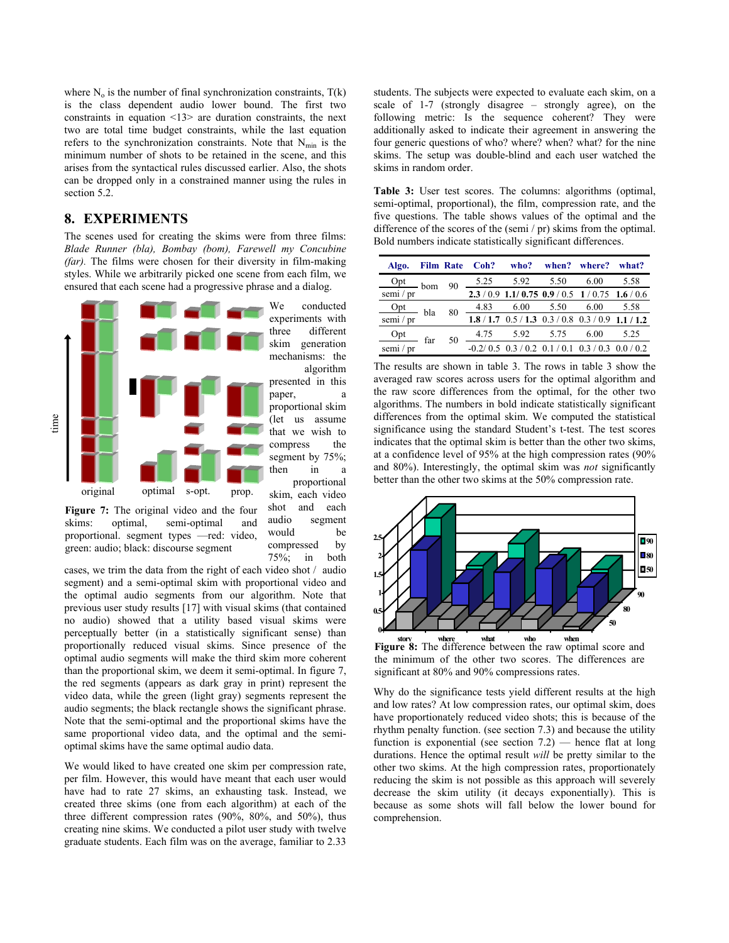where  $N_0$  is the number of final synchronization constraints,  $T(k)$ is the class dependent audio lower bound. The first two constraints in equation  $\langle 13 \rangle$  are duration constraints, the next two are total time budget constraints, while the last equation refers to the synchronization constraints. Note that  $N_{min}$  is the minimum number of shots to be retained in the scene, and this arises from the syntactical rules discussed earlier. Also, the shots can be dropped only in a constrained manner using the rules in section 5.2.

# <span id="page-8-0"></span>**8. EXPERIMENTS**

The scenes used for creating the skims were from three films: *Blade Runner (bla), Bombay (bom), Farewell my Concubine (far).* The films were chosen for their diversity in film-making styles. While we arbitrarily picked one scene from each film, we ensured that each scene had a progressive phrase and a dialog.



**Figure 7:** The original video and the four skims: optimal, semi-optimal and proportional. segment types —red: video, green: audio; black: discourse segment

cases, we trim the data from the right of each video shot / audio segment) and a semi-optimal skim with proportional video and the optimal audio segments from our algorithm. Note that previous user study results [\[17\]](#page-9-12) with visual skims (that contained no audio) showed that a utility based visual skims were perceptually better (in a statistically significant sense) than proportionally reduced visual skims. Since presence of the optimal audio segments will make the third skim more coherent than the proportional skim, we deem it semi-optimal. In figure 7, the red segments (appears as dark gray in print) represent the video data, while the green (light gray) segments represent the audio segments; the black rectangle shows the significant phrase. Note that the semi-optimal and the proportional skims have the same proportional video data, and the optimal and the semioptimal skims have the same optimal audio data.

audio segment would be compressed by 75%; in both

We would liked to have created one skim per compression rate, per film. However, this would have meant that each user would have had to rate 27 skims, an exhausting task. Instead, we created three skims (one from each algorithm) at each of the three different compression rates (90%, 80%, and 50%), thus creating nine skims. We conducted a pilot user study with twelve graduate students. Each film was on the average, familiar to 2.33 students. The subjects were expected to evaluate each skim, on a scale of 1-7 (strongly disagree – strongly agree), on the following metric: Is the sequence coherent? They were additionally asked to indicate their agreement in answering the four generic questions of who? where? when? what? for the nine skims. The setup was double-blind and each user watched the skims in random order.

**Table 3:** User test scores. The columns: algorithms (optimal, semi-optimal, proportional), the film, compression rate, and the five questions. The table shows values of the optimal and the difference of the scores of the (semi / pr) skims from the optimal. Bold numbers indicate statistically significant differences.

| Algo.                               |                                                    |    |         | Film Rate Coh? who?                                     | when? where? | what? |
|-------------------------------------|----------------------------------------------------|----|---------|---------------------------------------------------------|--------------|-------|
| $\frac{\text{Opt}}{\text{Dom}}$ bom |                                                    |    |         | 90 $\frac{5.25}{5.92}$ 5.50                             | 6.00         | 5.58  |
| semi / pr $\sim$                    |                                                    |    |         | $2.3/0.9$ 1.1/0.75 0.9/0.5 1/0.75 1.6/0.6               |              |       |
|                                     | $\frac{\text{Opt}}{\text{semi } / \text{ pr}}$ bla | 80 | 4.83    | $6.00$ 5.50                                             | 6.00         | 5.58  |
|                                     |                                                    |    |         | 1.8 / 1.7 $0.5$ / 1.3 $0.3$ / 0.8 $0.3$ / 0.9 1.1 / 1.2 |              |       |
| $\frac{Opt}{\text{far}}$            |                                                    | 50 | $-4.75$ | 5.92 5.75                                               | 6.00         | 5.25  |
| semi / pr                           |                                                    |    |         | $-0.2/0.5$ 0.3 / 0.2 0.1 / 0.1 0.3 / 0.3 0.0 / 0.2      |              |       |

The results are shown in table 3. The rows in table 3 show the averaged raw scores across users for the optimal algorithm and the raw score differences from the optimal, for the other two algorithms. The numbers in bold indicate statistically significant differences from the optimal skim. We computed the statistical significance using the standard Student's t-test. The test scores indicates that the optimal skim is better than the other two skims, at a confidence level of 95% at the high compression rates (90% and 80%). Interestingly, the optimal skim was *not* significantly better than the other two skims at the 50% compression rate.



**story where what who when Figure 8:** The difference between the raw optimal score and the minimum of the other two scores. The differences are significant at 80% and 90% compressions rates.

Why do the significance tests yield different results at the high and low rates? At low compression rates, our optimal skim, does have proportionately reduced video shots; this is because of the rhythm penalty function. (see section [7.3\)](#page-5-1) and because the utility function is exponential (see section  $7.2$ ) — hence flat at long durations. Hence the optimal result *will* be pretty similar to the other two skims. At the high compression rates, proportionately reducing the skim is not possible as this approach will severely decrease the skim utility (it decays exponentially). This is because as some shots will fall below the lower bound for comprehension.